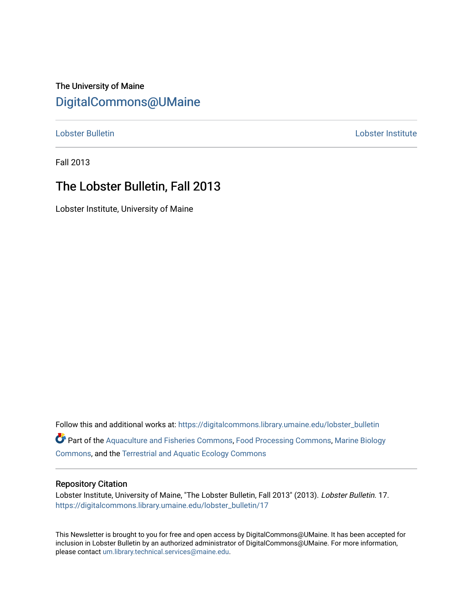# The University of Maine [DigitalCommons@UMaine](https://digitalcommons.library.umaine.edu/)

[Lobster Bulletin](https://digitalcommons.library.umaine.edu/lobster_bulletin) [Lobster Institute](https://digitalcommons.library.umaine.edu/lobster) 

Fall 2013

# The Lobster Bulletin, Fall 2013

Lobster Institute, University of Maine

Follow this and additional works at: [https://digitalcommons.library.umaine.edu/lobster\\_bulletin](https://digitalcommons.library.umaine.edu/lobster_bulletin?utm_source=digitalcommons.library.umaine.edu%2Flobster_bulletin%2F17&utm_medium=PDF&utm_campaign=PDFCoverPages) Part of the [Aquaculture and Fisheries Commons](http://network.bepress.com/hgg/discipline/78?utm_source=digitalcommons.library.umaine.edu%2Flobster_bulletin%2F17&utm_medium=PDF&utm_campaign=PDFCoverPages), [Food Processing Commons,](http://network.bepress.com/hgg/discipline/85?utm_source=digitalcommons.library.umaine.edu%2Flobster_bulletin%2F17&utm_medium=PDF&utm_campaign=PDFCoverPages) [Marine Biology](http://network.bepress.com/hgg/discipline/1126?utm_source=digitalcommons.library.umaine.edu%2Flobster_bulletin%2F17&utm_medium=PDF&utm_campaign=PDFCoverPages) [Commons](http://network.bepress.com/hgg/discipline/1126?utm_source=digitalcommons.library.umaine.edu%2Flobster_bulletin%2F17&utm_medium=PDF&utm_campaign=PDFCoverPages), and the [Terrestrial and Aquatic Ecology Commons](http://network.bepress.com/hgg/discipline/20?utm_source=digitalcommons.library.umaine.edu%2Flobster_bulletin%2F17&utm_medium=PDF&utm_campaign=PDFCoverPages) 

#### Repository Citation

Lobster Institute, University of Maine, "The Lobster Bulletin, Fall 2013" (2013). Lobster Bulletin. 17. [https://digitalcommons.library.umaine.edu/lobster\\_bulletin/17](https://digitalcommons.library.umaine.edu/lobster_bulletin/17?utm_source=digitalcommons.library.umaine.edu%2Flobster_bulletin%2F17&utm_medium=PDF&utm_campaign=PDFCoverPages) 

This Newsletter is brought to you for free and open access by DigitalCommons@UMaine. It has been accepted for inclusion in Lobster Bulletin by an authorized administrator of DigitalCommons@UMaine. For more information, please contact [um.library.technical.services@maine.edu.](mailto:um.library.technical.services@maine.edu)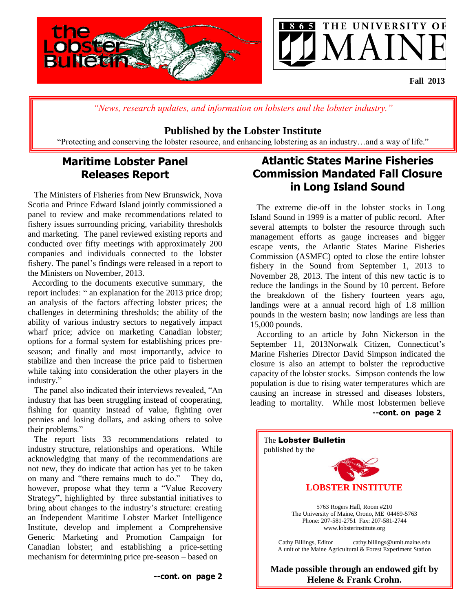

*"News, research updates, and information on lobsters and the lobster industry."*

## **Published by the Lobster Institute**

"Protecting and conserving the lobster resource, and enhancing lobstering as an industry…and a way of life."

# **Maritime Lobster Panel Releases Report**

 The Ministers of Fisheries from New Brunswick, Nova Scotia and Prince Edward Island jointly commissioned a panel to review and make recommendations related to fishery issues surrounding pricing, variability thresholds and marketing. The panel reviewed existing reports and conducted over fifty meetings with approximately 200 companies and individuals connected to the lobster fishery. The panel's findings were released in a report to the Ministers on November, 2013.

 According to the documents executive summary, the report includes: " an explanation for the 2013 price drop; an analysis of the factors affecting lobster prices; the challenges in determining thresholds; the ability of the ability of various industry sectors to negatively impact wharf price; advice on marketing Canadian lobster; options for a formal system for establishing prices preseason; and finally and most importantly, advice to stabilize and then increase the price paid to fishermen while taking into consideration the other players in the industry."

 The panel also indicated their interviews revealed, "An industry that has been struggling instead of cooperating, fishing for quantity instead of value, fighting over pennies and losing dollars, and asking others to solve their problems."

 The report lists 33 recommendations related to industry structure, relationships and operations. While acknowledging that many of the recommendations are not new, they do indicate that action has yet to be taken on many and "there remains much to do." They do, however, propose what they term a "Value Recovery Strategy", highlighted by three substantial initiatives to bring about changes to the industry's structure: creating an Independent Maritime Lobster Market Intelligence Institute, develop and implement a Comprehensive Generic Marketing and Promotion Campaign for Canadian lobster; and establishing a price-setting mechanism for determining price pre-season – based on

## **Atlantic States Marine Fisheries Commission Mandated Fall Closure in Long Island Sound**

 The extreme die-off in the lobster stocks in Long Island Sound in 1999 is a matter of public record. After several attempts to bolster the resource through such management efforts as gauge increases and bigger escape vents, the Atlantic States Marine Fisheries Commission (ASMFC) opted to close the entire lobster fishery in the Sound from September 1, 2013 to November 28, 2013. The intent of this new tactic is to reduce the landings in the Sound by 10 percent. Before the breakdown of the fishery fourteen years ago, landings were at a annual record high of 1.8 million pounds in the western basin; now landings are less than 15,000 pounds.

 According to an article by John Nickerson in the September 11, 2013Norwalk Citizen, Connecticut's Marine Fisheries Director David Simpson indicated the closure is also an attempt to bolster the reproductive capacity of the lobster stocks. Simpson contends the low population is due to rising water temperatures which are causing an increase in stressed and diseases lobsters, leading to mortality. While most lobstermen believe  **--cont. on page 2**

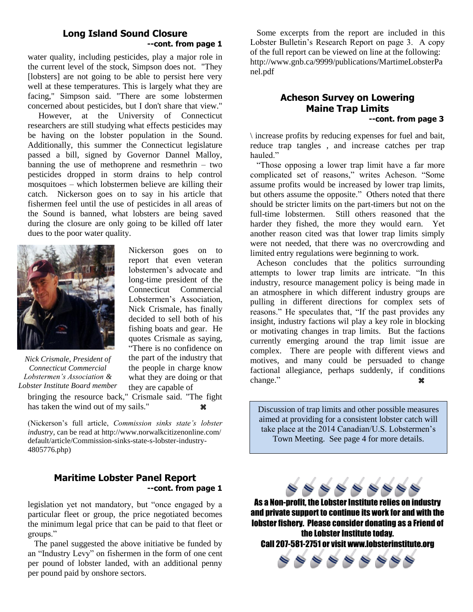## **Long Island Sound Closure --cont. from page 1**

water quality, including pesticides, play a major role in the current level of the stock, Simpson does not. "They [lobsters] are not going to be able to persist here very well at these temperatures. This is largely what they are facing," Simpson said. "There are some lobstermen concerned about pesticides, but I don't share that view."

 However, at the University of Connecticut researchers are still studying what effects pesticides may be having on the lobster population in the Sound. Additionally, this summer the Connecticut legislature passed a bill, signed by Governor Dannel Malloy, banning the use of methoprene and resmethrin – two pesticides dropped in storm drains to help control mosquitoes – which lobstermen believe are killing their catch. Nickerson goes on to say in his article that fishermen feel until the use of pesticides in all areas of the Sound is banned, what lobsters are being saved during the closure are only going to be killed off later dues to the poor water quality.



*Nick Crismale, President of Connecticut Commercial Lobstermen's Association & Lobster Institute Board member*

report that even veteran lobstermen's advocate and long-time president of the Connecticut Commercial Lobstermen's Association, Nick Crismale, has finally decided to sell both of his fishing boats and gear. He quotes Crismale as saying, "There is no confidence on the part of the industry that the people in charge know what they are doing or that they are capable of

Nickerson goes on to

bringing the resource back," Crismale said. "The fight has taken the wind out of my sails."

(Nickerson's full article, *Commission sinks state's lobster industry,* can be read at http://www.norwalkcitizenonline.com/ default/article/Commission-sinks-state-s-lobster-industry-4805776.php)

## **Maritime Lobster Panel Report --cont. from page 1**

legislation yet not mandatory, but "once engaged by a particular fleet or group, the price negotiated becomes the minimum legal price that can be paid to that fleet or groups."

 The panel suggested the above initiative be funded by an "Industry Levy" on fishermen in the form of one cent per pound of lobster landed, with an additional penny per pound paid by onshore sectors.

 Some excerpts from the report are included in this Lobster Bulletin's Research Report on page 3. A copy of the full report can be viewed on line at the following: http://www.gnb.ca/9999/publications/MartimeLobsterPa nel.pdf

## **Acheson Survey on Lowering Maine Trap Limits**

#### **--cont. from page 3**

\ increase profits by reducing expenses for fuel and bait, reduce trap tangles , and increase catches per trap hauled<sup>"</sup>

 "Those opposing a lower trap limit have a far more complicated set of reasons," writes Acheson. "Some assume profits would be increased by lower trap limits, but others assume the opposite." Others noted that there should be stricter limits on the part-timers but not on the full-time lobstermen. Still others reasoned that the harder they fished, the more they would earn. Yet another reason cited was that lower trap limits simply were not needed, that there was no overcrowding and limited entry regulations were beginning to work.

 Acheson concludes that the politics surrounding attempts to lower trap limits are intricate. "In this industry, resource management policy is being made in an atmosphere in which different industry groups are pulling in different directions for complex sets of reasons." He speculates that, "If the past provides any insight, industry factions wil play a key role in blocking or motivating changes in trap limits. But the factions currently emerging around the trap limit issue are complex. There are people with different views and motives, and many could be persuaded to change factional allegiance, perhaps suddenly, if conditions change."

Discussion of trap limits and other possible measures aimed at providing for a consistent lobster catch will take place at the 2014 Canadian/U.S. Lobstermen's Town Meeting. See page 4 for more details.



As a Non-profit, the Lobster Institute relies on industry and private support to continue its work for and with the lobster fishery. Please consider donating as a Friend of the Lobster Institute today. Call 207-581-2751 or visit www.lobsterinstitute.org

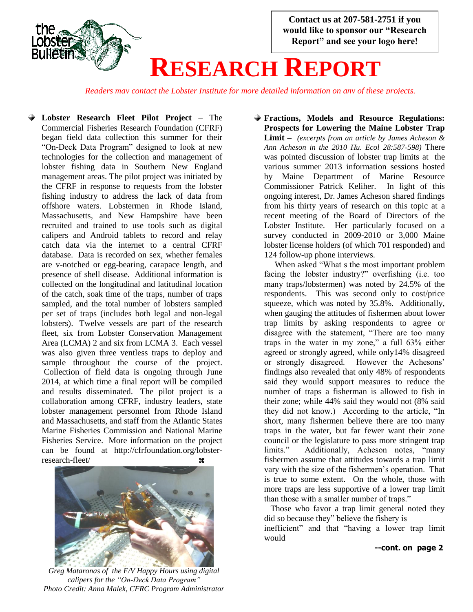

*Readers may contact the Lobster Institute for more detailed information on any of these projects.*

**Lobster Research Fleet Pilot Project** – The Commercial Fisheries Research Foundation (CFRF) began field data collection this summer for their "On-Deck Data Program" designed to look at new technologies for the collection and management of lobster fishing data in Southern New England management areas. The pilot project was initiated by the CFRF in response to requests from the lobster fishing industry to address the lack of data from offshore waters. Lobstermen in Rhode Island, Massachusetts, and New Hampshire have been recruited and trained to use tools such as digital calipers and Android tablets to record and relay catch data via the internet to a central CFRF database. Data is recorded on sex, whether females are v-notched or egg-bearing, carapace length, and presence of shell disease. Additional information is collected on the longitudinal and latitudinal location of the catch, soak time of the traps, number of traps sampled, and the total number of lobsters sampled per set of traps (includes both legal and non-legal lobsters). Twelve vessels are part of the research fleet, six from Lobster Conservation Management Area (LCMA) 2 and six from LCMA 3. Each vessel was also given three ventless traps to deploy and sample throughout the course of the project. Collection of field data is ongoing through June 2014, at which time a final report will be compiled and results disseminated. The pilot project is a collaboration among CFRF, industry leaders, state lobster management personnel from Rhode Island and Massachusetts, and staff from the Atlantic States Marine Fisheries Commission and National Marine Fisheries Service. More information on the project can be found at http://cfrfoundation.org/lobsterresearch-fleet/



*Greg Mataronas of the F/V Happy Hours using digital calipers for the "On-Deck Data Program" Photo Credit: Anna Malek, CFRC Program Administrator*

**Fractions, Models and Resource Regulations: Prospects for Lowering the Maine Lobster Trap Limit –** *(excerpts from an article by James Acheson & Ann Acheson in the 2010 Hu. Ecol 28:587-598)* There was pointed discussion of lobster trap limits at the various summer 2013 information sessions hosted by Maine Department of Marine Resource Commissioner Patrick Keliher. In light of this ongoing interest, Dr. James Acheson shared findings from his thirty years of research on this topic at a recent meeting of the Board of Directors of the Lobster Institute. Her particularly focused on a survey conducted in 2009-2010 or 3,000 Maine lobster license holders (of which 701 responded) and 124 follow-up phone interviews.

 When asked "What s the most important problem facing the lobster industry?" overfishing (i.e. too many traps/lobstermen) was noted by 24.5% of the respondents. This was second only to cost/price squeeze, which was noted by 35.8%. Additionally, when gauging the attitudes of fishermen about lower trap limits by asking respondents to agree or disagree with the statement, "There are too many traps in the water in my zone," a full 63% either agreed or strongly agreed, while only14% disagreed or strongly disagreed. However the Achesons' findings also revealed that only 48% of respondents said they would support measures to reduce the number of traps a fisherman is allowed to fish in their zone; while 44% said they would not (8% said they did not know.) According to the article, "In short, many fishermen believe there are too many traps in the water, but far fewer want their zone council or the legislature to pass more stringent trap limits." Additionally, Acheson notes, "many fishermen assume that attitudes towards a trap limit vary with the size of the fishermen's operation. That is true to some extent. On the whole, those with more traps are less supportive of a lower trap limit than those with a smaller number of traps."

 Those who favor a trap limit general noted they did so because they" believe the fishery is

inefficient" and that "having a lower trap limit would

### **--cont. on page 2**